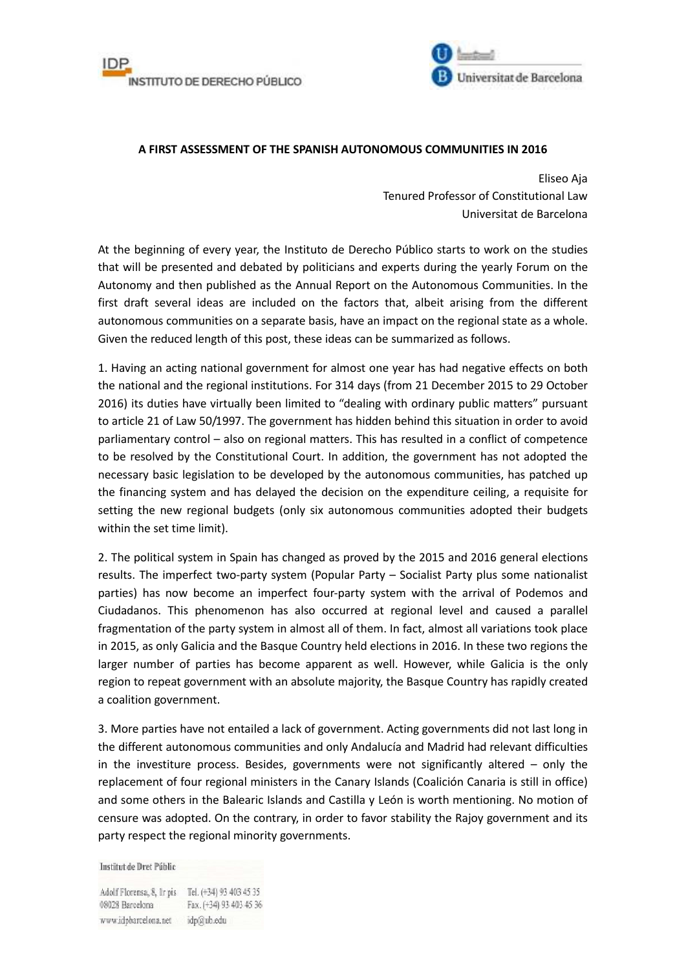



## **A FIRST ASSESSMENT OF THE SPANISH AUTONOMOUS COMMUNITIES IN 2016**

Eliseo Aja Tenured Professor of Constitutional Law Universitat de Barcelona

At the beginning of every year, the Instituto de Derecho Público starts to work on the studies that will be presented and debated by politicians and experts during the yearly Forum on the Autonomy and then published as the Annual Report on the Autonomous Communities. In the first draft several ideas are included on the factors that, albeit arising from the different autonomous communities on a separate basis, have an impact on the regional state as a whole. Given the reduced length of this post, these ideas can be summarized as follows.

1. Having an acting national government for almost one year has had negative effects on both the national and the regional institutions. For 314 days (from 21 December 2015 to 29 October 2016) its duties have virtually been limited to "dealing with ordinary public matters" pursuant to article 21 of Law 50/1997. The government has hidden behind this situation in order to avoid parliamentary control – also on regional matters. This has resulted in a conflict of competence to be resolved by the Constitutional Court. In addition, the government has not adopted the necessary basic legislation to be developed by the autonomous communities, has patched up the financing system and has delayed the decision on the expenditure ceiling, a requisite for setting the new regional budgets (only six autonomous communities adopted their budgets within the set time limit).

2. The political system in Spain has changed as proved by the 2015 and 2016 general elections results. The imperfect two-party system (Popular Party – Socialist Party plus some nationalist parties) has now become an imperfect four-party system with the arrival of Podemos and Ciudadanos. This phenomenon has also occurred at regional level and caused a parallel fragmentation of the party system in almost all of them. In fact, almost all variations took place in 2015, as only Galicia and the Basque Country held elections in 2016. In these two regions the larger number of parties has become apparent as well. However, while Galicia is the only region to repeat government with an absolute majority, the Basque Country has rapidly created a coalition government.

3. More parties have not entailed a lack of government. Acting governments did not last long in the different autonomous communities and only Andalucía and Madrid had relevant difficulties in the investiture process. Besides, governments were not significantly altered – only the replacement of four regional ministers in the Canary Islands (Coalición Canaria is still in office) and some others in the Balearic Islands and Castilla y León is worth mentioning. No motion of censure was adopted. On the contrary, in order to favor stability the Rajoy government and its party respect the regional minority governments.

Institut de Dret Públic

Adolf Florensa, 8, Ir pis Tel. (+34) 93 403 45 35 08028 Barcelona Fax. (+34) 93 403 45 36 www.idpbarcelona.net idp@ub.edu